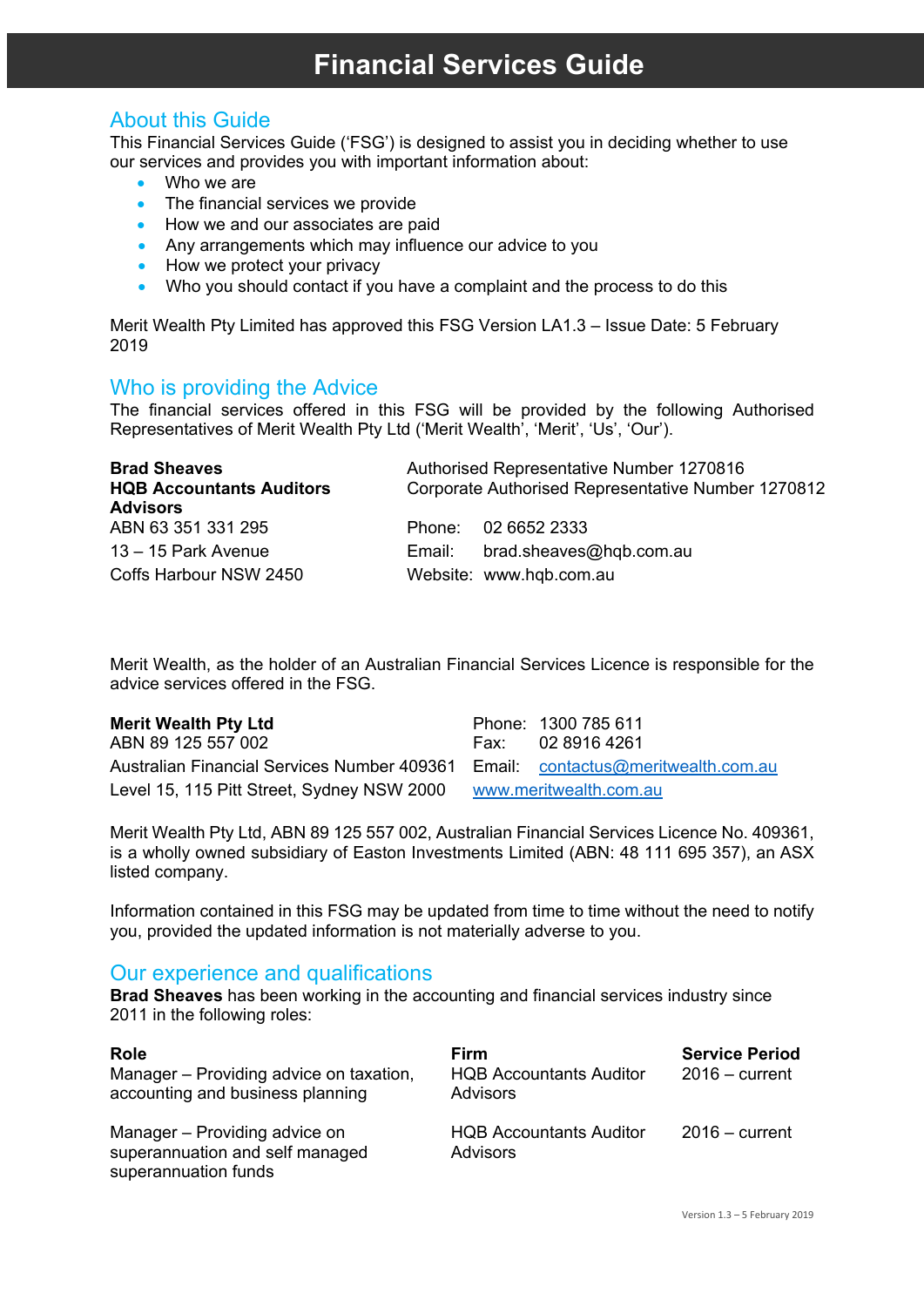# **Financial Services Guide**

## About this Guide

This Financial Services Guide ('FSG') is designed to assist you in deciding whether to use our services and provides you with important information about:

- Who we are
- The financial services we provide
- How we and our associates are paid
- Any arrangements which may influence our advice to you
- How we protect your privacy
- Who you should contact if you have a complaint and the process to do this

Merit Wealth Pty Limited has approved this FSG Version LA1.3 – Issue Date: 5 February 2019

Who is providing the Advice<br>The financial services offered in this FSG will be provided by the following Authorised Representatives of Merit Wealth Pty Ltd ('Merit Wealth', 'Merit', 'Us', 'Our').

| <b>Brad Sheaves</b>             | <b>Authorised Representative Number 1270816</b> |                                                    |
|---------------------------------|-------------------------------------------------|----------------------------------------------------|
| <b>HQB Accountants Auditors</b> |                                                 | Corporate Authorised Representative Number 1270812 |
| <b>Advisors</b>                 |                                                 |                                                    |
| ABN 63 351 331 295              |                                                 | Phone: 02 6652 2333                                |
| 13 - 15 Park Avenue             | Email:                                          | brad.sheaves@hqb.com.au                            |
| Coffs Harbour NSW 2450          |                                                 | Website: www.hqb.com.au                            |

Merit Wealth, as the holder of an Australian Financial Services Licence is responsible for the advice services offered in the FSG.

ABN 89 125 557 002 Australian Financial Services Number 409361 Email: [contactus@meritwealth.com.au](mailto:contactus@meritwealth.com.au)  Level 15, 115 Pitt Street, Sydney NSW 2000 [www.meritwealth.com.au](http://www.meritwealth.com.au/)

**Merit Wealth Pty Ltd Phone: 1300 785 611**<br>ABN 89 125 557 002 **Phone: 02 8916 4261** 

Merit Wealth Pty Ltd, ABN 89 125 557 002, Australian Financial Services Licence No. 409361, is a wholly owned subsidiary of Easton Investments Limited (ABN: 48 111 695 357), an ASX listed company.

Information contained in this FSG may be updated from time to time without the need to notify you, provided the updated information is not materially adverse to you.

## Our experience and qualifications

**Brad Sheaves** has been working in the accounting and financial services industry since 2011 in the following roles:

| <b>Role</b><br>Manager – Providing advice on taxation,<br>accounting and business planning | Firm<br><b>HQB Accountants Auditor</b><br>Advisors | <b>Service Period</b><br>$2016 - current$ |
|--------------------------------------------------------------------------------------------|----------------------------------------------------|-------------------------------------------|
| Manager - Providing advice on<br>superannuation and self managed<br>superannuation funds   | <b>HQB Accountants Auditor</b><br><b>Advisors</b>  | $2016 - current$                          |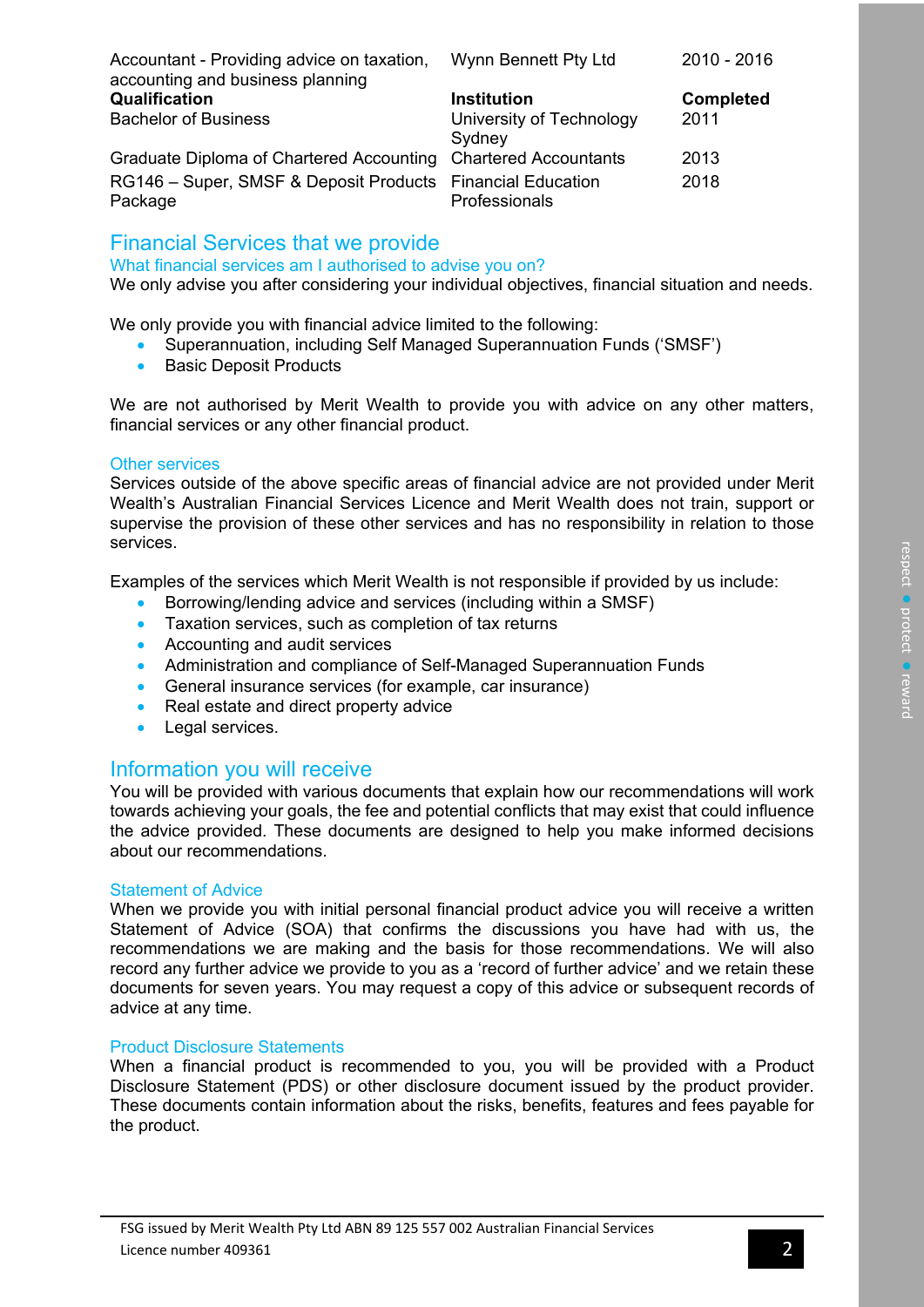| Accountant - Providing advice on taxation,                     | Wynn Bennett Pty Ltd     | 2010 - 2016      |
|----------------------------------------------------------------|--------------------------|------------------|
| accounting and business planning                               |                          |                  |
| Qualification                                                  | <b>Institution</b>       | <b>Completed</b> |
| <b>Bachelor of Business</b>                                    | University of Technology | 2011             |
|                                                                | Sydney                   |                  |
| Graduate Diploma of Chartered Accounting Chartered Accountants |                          | 2013             |
| RG146 - Super, SMSF & Deposit Products Financial Education     |                          | 2018             |
| Package                                                        | Professionals            |                  |

## Financial Services that we provide

What financial services am I authorised to advise you on?

We only advise you after considering your individual objectives, financial situation and needs.

We only provide you with financial advice limited to the following:

- Superannuation, including Self Managed Superannuation Funds ('SMSF')
- Basic Deposit Products

We are not authorised by Merit Wealth to provide you with advice on any other matters, financial services or any other financial product.

### Other services

Services outside of the above specific areas of financial advice are not provided under Merit Wealth's Australian Financial Services Licence and Merit Wealth does not train, support or supervise the provision of these other services and has no responsibility in relation to those services.

Examples of the services which Merit Wealth is not responsible if provided by us include:

- Borrowing/lending advice and services (including within a SMSF)
- Taxation services, such as completion of tax returns
- Accounting and audit services
- Administration and compliance of Self-Managed Superannuation Funds
- General insurance services (for example, car insurance)
- Real estate and direct property advice
- Legal services.

## Information you will receive

You will be provided with various documents that explain how our recommendations will work towards achieving your goals, the fee and potential conflicts that may exist that could influence the advice provided. These documents are designed to help you make informed decisions about our recommendations.

#### Statement of Advice

When we provide you with initial personal financial product advice you will receive a written Statement of Advice (SOA) that confirms the discussions you have had with us, the recommendations we are making and the basis for those recommendations. We will also record any further advice we provide to you as a 'record of further advice' and we retain these documents for seven years. You may request a copy of this advice or subsequent records of advice at any time.

### Product Disclosure Statements

When a financial product is recommended to you, you will be provided with a Product Disclosure Statement (PDS) or other disclosure document issued by the product provider. These documents contain information about the risks, benefits, features and fees payable for the product.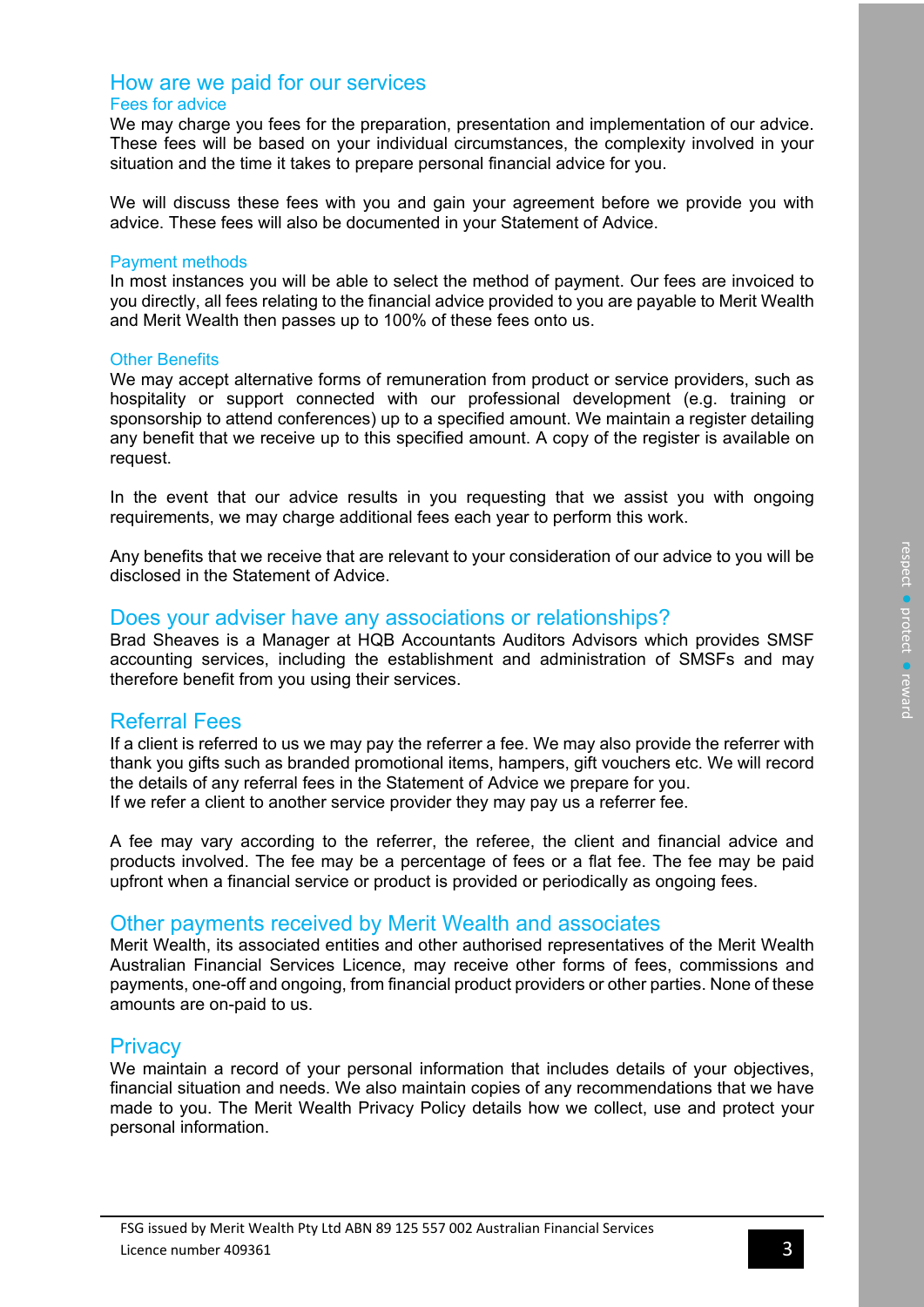## How are we paid for our services

## Fees for advice

We may charge you fees for the preparation, presentation and implementation of our advice. These fees will be based on your individual circumstances, the complexity involved in your situation and the time it takes to prepare personal financial advice for you.

We will discuss these fees with you and gain your agreement before we provide you with advice. These fees will also be documented in your Statement of Advice.

#### Payment methods

In most instances you will be able to select the method of payment. Our fees are invoiced to you directly, all fees relating to the financial advice provided to you are payable to Merit Wealth and Merit Wealth then passes up to 100% of these fees onto us.

### Other Benefits

We may accept alternative forms of remuneration from product or service providers, such as hospitality or support connected with our professional development (e.g. training or sponsorship to attend conferences) up to a specified amount. We maintain a register detailing any benefit that we receive up to this specified amount. A copy of the register is available on request.

In the event that our advice results in you requesting that we assist you with ongoing requirements, we may charge additional fees each year to perform this work.

Any benefits that we receive that are relevant to your consideration of our advice to you will be disclosed in the Statement of Advice.

## Does your adviser have any associations or relationships?

Brad Sheaves is a Manager at HQB Accountants Auditors Advisors which provides SMSF accounting services, including the establishment and administration of SMSFs and may therefore benefit from you using their services.

## Referral Fees

If a client is referred to us we may pay the referrer a fee. We may also provide the referrer with thank you gifts such as branded promotional items, hampers, gift vouchers etc. We will record the details of any referral fees in the Statement of Advice we prepare for you. If we refer a client to another service provider they may pay us a referrer fee.

A fee may vary according to the referrer, the referee, the client and financial advice and products involved. The fee may be a percentage of fees or a flat fee. The fee may be paid upfront when a financial service or product is provided or periodically as ongoing fees.

## Other payments received by Merit Wealth and associates

Merit Wealth, its associated entities and other authorised representatives of the Merit Wealth Australian Financial Services Licence, may receive other forms of fees, commissions and payments, one-off and ongoing, from financial product providers or other parties. None of these amounts are on-paid to us.

## **Privacy**

We maintain a record of your personal information that includes details of your objectives, financial situation and needs. We also maintain copies of any recommendations that we have made to you. The Merit Wealth Privacy Policy details how we collect, use and protect your personal information.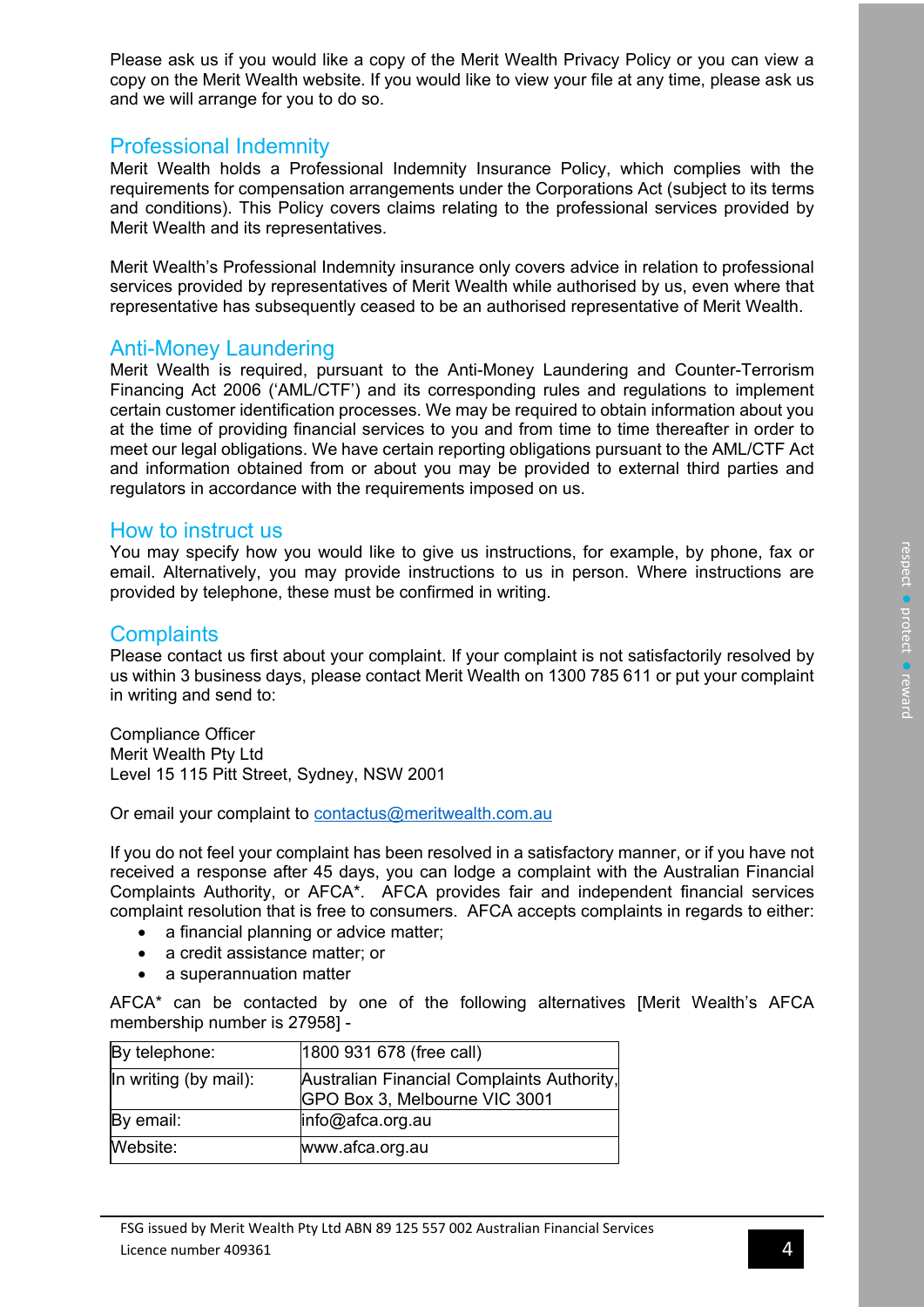Please ask us if you would like a copy of the Merit Wealth Privacy Policy or you can view a copy on the Merit Wealth website. If you would like to view your file at any time, please ask us and we will arrange for you to do so.

## Professional Indemnity

Merit Wealth holds a Professional Indemnity Insurance Policy, which complies with the requirements for compensation arrangements under the Corporations Act (subject to its terms and conditions). This Policy covers claims relating to the professional services provided by Merit Wealth and its representatives.

Merit Wealth's Professional Indemnity insurance only covers advice in relation to professional services provided by representatives of Merit Wealth while authorised by us, even where that representative has subsequently ceased to be an authorised representative of Merit Wealth.

## Anti-Money Laundering

Merit Wealth is required, pursuant to the Anti-Money Laundering and Counter-Terrorism Financing Act 2006 ('AML/CTF') and its corresponding rules and regulations to implement certain customer identification processes. We may be required to obtain information about you at the time of providing financial services to you and from time to time thereafter in order to meet our legal obligations. We have certain reporting obligations pursuant to the AML/CTF Act and information obtained from or about you may be provided to external third parties and regulators in accordance with the requirements imposed on us.

## How to instruct us

You may specify how you would like to give us instructions, for example, by phone, fax or email. Alternatively, you may provide instructions to us in person. Where instructions are provided by telephone, these must be confirmed in writing.

## **Complaints**

Please contact us first about your complaint. If your complaint is not satisfactorily resolved by us within 3 business days, please contact Merit Wealth on 1300 785 611 or put your complaint in writing and send to:

Compliance Officer Merit Wealth Pty Ltd Level 15 115 Pitt Street, Sydney, NSW 2001

Or email your complaint to [contactus@meritwealth.com.au](mailto:contactus@meritwealth.com.au)

If you do not feel your complaint has been resolved in a satisfactory manner, or if you have not received a response after 45 days, you can lodge a complaint with the Australian Financial Complaints Authority, or AFCA\*. AFCA provides fair and independent financial services complaint resolution that is free to consumers. AFCA accepts complaints in regards to either:

- a financial planning or advice matter;
- a credit assistance matter; or
- a superannuation matter

AFCA\* can be contacted by one of the following alternatives [Merit Wealth's AFCA membership number is 27958] -

| By telephone:         | 1800 931 678 (free call)                                                    |
|-----------------------|-----------------------------------------------------------------------------|
| In writing (by mail): | Australian Financial Complaints Authority,<br>GPO Box 3, Melbourne VIC 3001 |
| By email:             | $info@a$ fca.org.au                                                         |
| Website:              | www.afca.org.au                                                             |